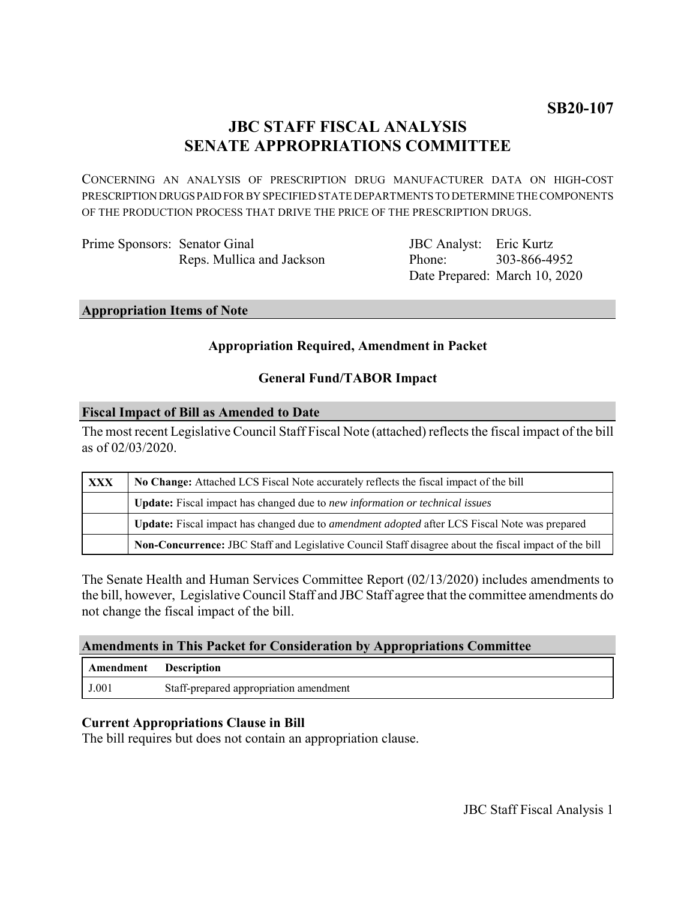# **JBC STAFF FISCAL ANALYSIS SENATE APPROPRIATIONS COMMITTEE**

CONCERNING AN ANALYSIS OF PRESCRIPTION DRUG MANUFACTURER DATA ON HIGH-COST PRESCRIPTION DRUGS PAID FOR BY SPECIFIED STATE DEPARTMENTS TO DETERMINE THE COMPONENTS OF THE PRODUCTION PROCESS THAT DRIVE THE PRICE OF THE PRESCRIPTION DRUGS.

Prime Sponsors: Senator Ginal Reps. Mullica and Jackson

JBC Analyst: Eric Kurtz Phone: Date Prepared: March 10, 2020 303-866-4952

#### **Appropriation Items of Note**

## **Appropriation Required, Amendment in Packet**

### **General Fund/TABOR Impact**

#### **Fiscal Impact of Bill as Amended to Date**

The most recent Legislative Council Staff Fiscal Note (attached) reflects the fiscal impact of the bill as of 02/03/2020.

| <b>XXX</b> | No Change: Attached LCS Fiscal Note accurately reflects the fiscal impact of the bill                 |
|------------|-------------------------------------------------------------------------------------------------------|
|            | <b>Update:</b> Fiscal impact has changed due to new information or technical issues                   |
|            | Update: Fiscal impact has changed due to <i>amendment adopted</i> after LCS Fiscal Note was prepared  |
|            | Non-Concurrence: JBC Staff and Legislative Council Staff disagree about the fiscal impact of the bill |

The Senate Health and Human Services Committee Report (02/13/2020) includes amendments to the bill, however, Legislative Council Staff and JBC Staff agree that the committee amendments do not change the fiscal impact of the bill.

### **Amendments in This Packet for Consideration by Appropriations Committee**

| Amendment | Description                            |
|-----------|----------------------------------------|
| J.001     | Staff-prepared appropriation amendment |

### **Current Appropriations Clause in Bill**

The bill requires but does not contain an appropriation clause.